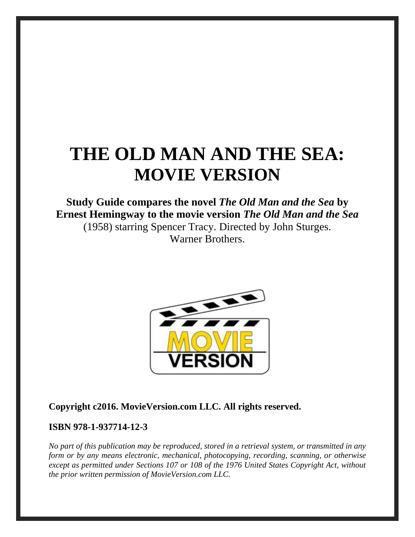# **THE OLD MAN AND THE SEA: MOVIE VERSION**

## **Study Guide compares the novel** *The Old Man and the Sea* **by Ernest Hemingway to the movie version** *The Old Man and the Sea* (1958) starring Spencer Tracy. Directed by John Sturges. Warner Brothers.



#### **Copyright c2016. MovieVersion.com LLC. All rights reserved.**

#### **ISBN 978-1-937714-12-3**

*No part of this publication may be reproduced, stored in a retrieval system, or transmitted in any form or by any means electronic, mechanical, photocopying, recording, scanning, or otherwise except as permitted under Sections 107 or 108 of the 1976 United States Copyright Act, without the prior written permission of MovieVersion.com LLC.*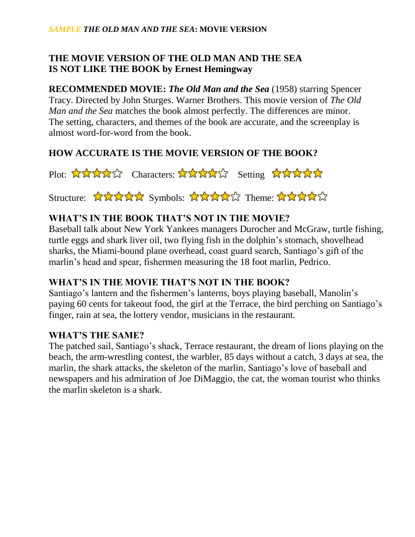#### **THE MOVIE VERSION OF THE OLD MAN AND THE SEA IS NOT LIKE THE BOOK by Ernest Hemingway**

**RECOMMENDED MOVIE:** *The Old Man and the Sea* (1958) starring Spencer Tracy. Directed by John Sturges. Warner Brothers. This movie version of *The Old Man and the Sea* matches the book almost perfectly. The differences are minor. The setting, characters, and themes of the book are accurate, and the screenplay is almost word-for-word from the book.

### **HOW ACCURATE IS THE MOVIE VERSION OF THE BOOK?**

Plot: ☆☆☆☆☆ Characters: ☆☆☆☆☆ Setting ☆☆☆☆☆☆

Structure: ☆☆☆☆☆ Symbols: ☆☆☆☆☆ Theme: ☆☆☆☆☆

#### **WHAT'S IN THE BOOK THAT'S NOT IN THE MOVIE?**

Baseball talk about New York Yankees managers Durocher and McGraw, turtle fishing, turtle eggs and shark liver oil, two flying fish in the dolphin's stomach, shovelhead sharks, the Miami-bound plane overhead, coast guard search, Santiago's gift of the marlin's head and spear, fishermen measuring the 18 foot marlin, Pedrico.

#### **WHAT'S IN THE MOVIE THAT'S NOT IN THE BOOK?**

Santiago's lantern and the fishermen's lanterns, boys playing baseball, Manolin's paying 60 cents for takeout food, the girl at the Terrace, the bird perching on Santiago's finger, rain at sea, the lottery vendor, musicians in the restaurant.

#### **WHAT'S THE SAME?**

The patched sail, Santiago's shack, Terrace restaurant, the dream of lions playing on the beach, the arm-wrestling contest, the warbler, 85 days without a catch, 3 days at sea, the marlin, the shark attacks, the skeleton of the marlin, Santiago's love of baseball and newspapers and his admiration of Joe DiMaggio, the cat, the woman tourist who thinks the marlin skeleton is a shark.